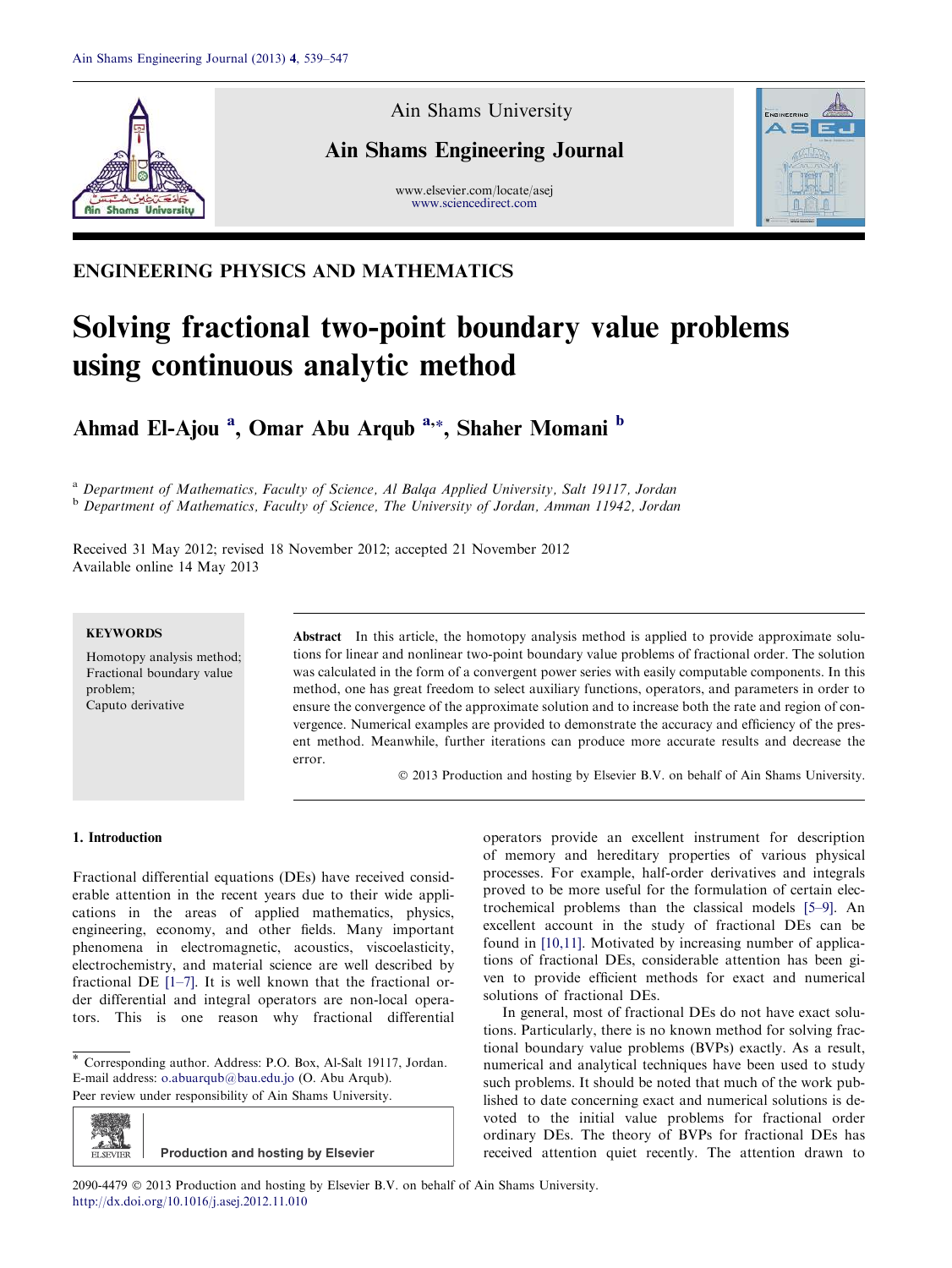

Ain Shams University

# Ain Shams Engineering Journal

www.elsevier.com/locate/asej www.sciencedirect.com



# ENGINEERING PHYSICS AND MATHEMATICS

# Solving fractional two-point boundary value problems using continuous analytic method

Ahmad El-Ajou<sup>a</sup>, Omar Abu Arqub<sup>a,</sup>\*, Shaher Momani <sup>b</sup>

<sup>a</sup> Department of Mathematics, Faculty of Science, Al Balqa Applied University, Salt 19117, Jordan <sup>b</sup> Department of Mathematics, Faculty of Science, The University of Jordan, Amman 11942, Jordan

Received 31 May 2012; revised 18 November 2012; accepted 21 November 2012 Available online 14 May 2013

#### **KEYWORDS**

Homotopy analysis method; Fractional boundary value problem; Caputo derivative

Abstract In this article, the homotopy analysis method is applied to provide approximate solutions for linear and nonlinear two-point boundary value problems of fractional order. The solution was calculated in the form of a convergent power series with easily computable components. In this method, one has great freedom to select auxiliary functions, operators, and parameters in order to ensure the convergence of the approximate solution and to increase both the rate and region of convergence. Numerical examples are provided to demonstrate the accuracy and efficiency of the present method. Meanwhile, further iterations can produce more accurate results and decrease the error.

 $©$  2013 Production and hosting by Elsevier B.V. on behalf of Ain Shams University.

## 1. Introduction

Fractional differential equations (DEs) have received considerable attention in the recent years due to their wide applications in the areas of applied mathematics, physics, engineering, economy, and other fields. Many important phenomena in electromagnetic, acoustics, viscoelasticity, electrochemistry, and material science are well described by fractional DE [1–7]. It is well known that the fractional order differential and integral operators are non-local operators. This is one reason why fractional differential

\* Corresponding author. Address: P.O. Box, Al-Salt 19117, Jordan. E-mail address: o.abuarqub@bau.edu.jo (O. Abu Arqub). Peer review under responsibility of Ain Shams University.

ELSEVIER **Production and hosting by Elsevier** operators provide an excellent instrument for description of memory and hereditary properties of various physical processes. For example, half-order derivatives and integrals proved to be more useful for the formulation of certain electrochemical problems than the classical models [5–9]. An excellent account in the study of fractional DEs can be found in [10,11]. Motivated by increasing number of applications of fractional DEs, considerable attention has been given to provide efficient methods for exact and numerical solutions of fractional DEs.

In general, most of fractional DEs do not have exact solutions. Particularly, there is no known method for solving fractional boundary value problems (BVPs) exactly. As a result, numerical and analytical techniques have been used to study such problems. It should be noted that much of the work published to date concerning exact and numerical solutions is devoted to the initial value problems for fractional order ordinary DEs. The theory of BVPs for fractional DEs has received attention quiet recently. The attention drawn to

2090-4479 © 2013 Production and hosting by Elsevier B.V. on behalf of Ain Shams University. http://dx.doi.org/10.1016/j.asej.2012.11.010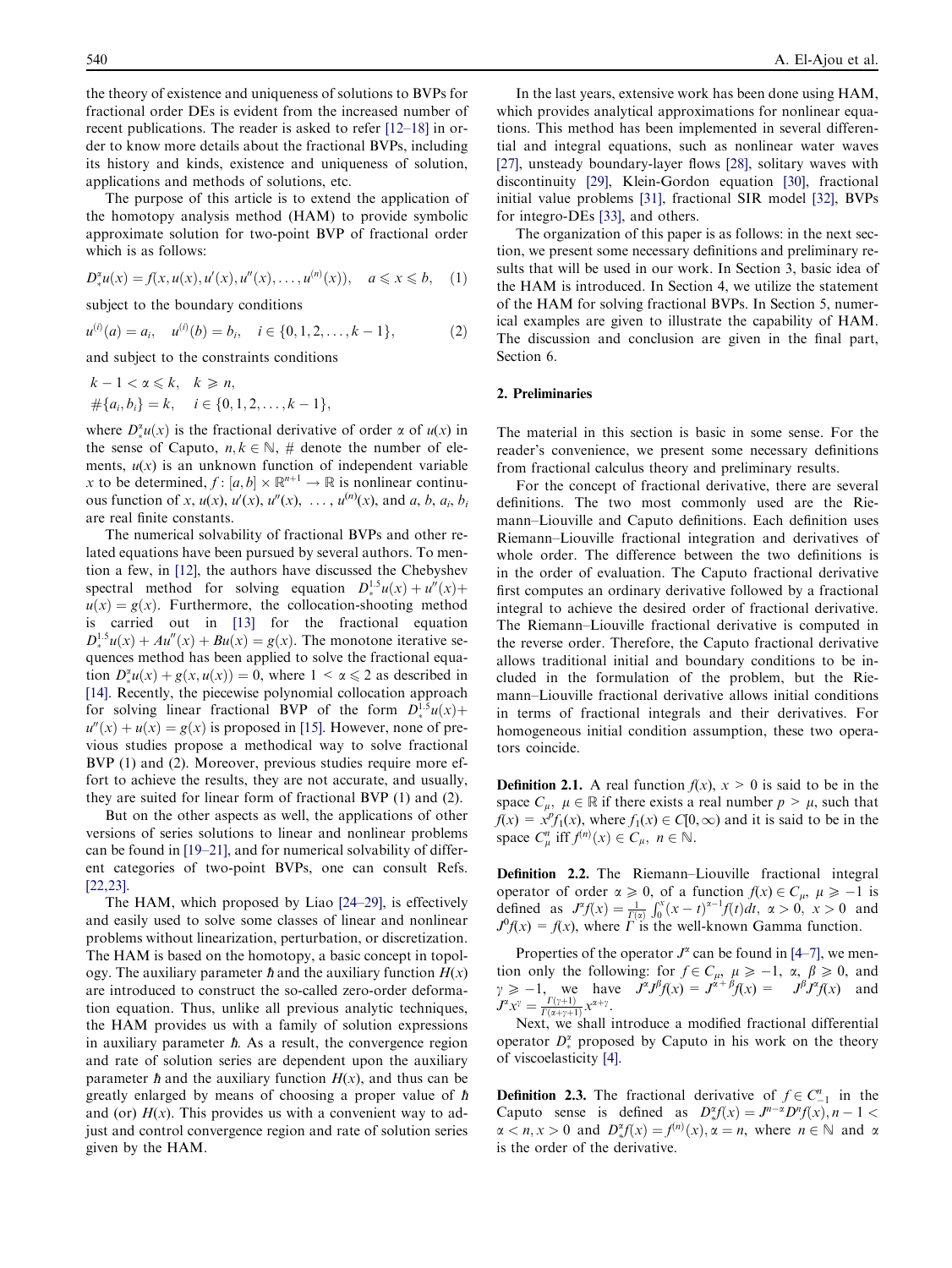the theory of existence and uniqueness of solutions to BVPs for fractional order DEs is evident from the increased number of recent publications. The reader is asked to refer [12–18] in order to know more details about the fractional BVPs, including its history and kinds, existence and uniqueness of solution, applications and methods of solutions, etc.

The purpose of this article is to extend the application of the homotopy analysis method (HAM) to provide symbolic approximate solution for two-point BVP of fractional order which is as follows:

$$
D_{*}^{x}u(x) = f(x, u(x), u'(x), u''(x), \dots, u^{(n)}(x)), \quad a \leq x \leq b, \quad (1)
$$

subject to the boundary conditions

$$
u^{(i)}(a) = a_i, \quad u^{(i)}(b) = b_i, \quad i \in \{0, 1, 2, \dots, k - 1\},
$$
 (2)

and subject to the constraints conditions

$$
k-1 < \alpha \leq k, \quad k \geq n,
$$
  
\n
$$
\#\{a_i, b_i\} = k, \quad i \in \{0, 1, 2, \dots, k-1\},
$$

where  $D_{\ast}^{\alpha}u(x)$  is the fractional derivative of order  $\alpha$  of  $u(x)$  in the sense of Caputo,  $n, k \in \mathbb{N}$ , # denote the number of elements,  $u(x)$  is an unknown function of independent variable x to be determined,  $f : [a, b] \times \mathbb{R}^{n+1} \to \mathbb{R}$  is nonlinear continuous function of x,  $u(x)$ ,  $u'(x)$ ,  $u''(x)$ , ...,  $u^{(n)}(x)$ , and a, b, a<sub>i</sub>, b<sub>i</sub> are real finite constants.

The numerical solvability of fractional BVPs and other related equations have been pursued by several authors. To mention a few, in [12], the authors have discussed the Chebyshev spectral method for solving equation  $D_*^{1.5}u(x) + u''(x) +$  $u(x) = g(x)$ . Furthermore, the collocation-shooting method is carried out in [13] for the fractional equation  $D_{*}^{1.5}u(x) + Au''(x) + Bu(x) = g(x)$ . The monotone iterative sequences method has been applied to solve the fractional equation  $D_{\ast}^{\alpha}u(x) + g(x, u(x)) = 0$ , where  $1 < \alpha \le 2$  as described in  $[14]$ . Recently, the piecewise polynomial collocation approach for solving linear fractional BVP of the form  $D_*^{1.5}u(x)$ +  $u''(x) + u(x) = g(x)$  is proposed in [15]. However, none of previous studies propose a methodical way to solve fractional BVP (1) and (2). Moreover, previous studies require more effort to achieve the results, they are not accurate, and usually, they are suited for linear form of fractional BVP (1) and (2).

But on the other aspects as well, the applications of other versions of series solutions to linear and nonlinear problems can be found in [19–21], and for numerical solvability of different categories of two-point BVPs, one can consult Refs. [22,23].

The HAM, which proposed by Liao [24–29], is effectively and easily used to solve some classes of linear and nonlinear problems without linearization, perturbation, or discretization. The HAM is based on the homotopy, a basic concept in topology. The auxiliary parameter  $\hbar$  and the auxiliary function  $H(x)$ are introduced to construct the so-called zero-order deformation equation. Thus, unlike all previous analytic techniques, the HAM provides us with a family of solution expressions in auxiliary parameter *. As a result, the convergence region* and rate of solution series are dependent upon the auxiliary parameter  $\hbar$  and the auxiliary function  $H(x)$ , and thus can be greatly enlarged by means of choosing a proper value of  $\hbar$ and (or)  $H(x)$ . This provides us with a convenient way to adjust and control convergence region and rate of solution series given by the HAM.

In the last years, extensive work has been done using HAM, which provides analytical approximations for nonlinear equations. This method has been implemented in several differential and integral equations, such as nonlinear water waves [27], unsteady boundary-layer flows [28], solitary waves with discontinuity [29], Klein-Gordon equation [30], fractional initial value problems [31], fractional SIR model [32], BVPs for integro-DEs [33], and others.

The organization of this paper is as follows: in the next section, we present some necessary definitions and preliminary results that will be used in our work. In Section 3, basic idea of the HAM is introduced. In Section 4, we utilize the statement of the HAM for solving fractional BVPs. In Section 5, numerical examples are given to illustrate the capability of HAM. The discussion and conclusion are given in the final part, Section 6.

## 2. Preliminaries

The material in this section is basic in some sense. For the reader's convenience, we present some necessary definitions from fractional calculus theory and preliminary results.

For the concept of fractional derivative, there are several definitions. The two most commonly used are the Riemann–Liouville and Caputo definitions. Each definition uses Riemann–Liouville fractional integration and derivatives of whole order. The difference between the two definitions is in the order of evaluation. The Caputo fractional derivative first computes an ordinary derivative followed by a fractional integral to achieve the desired order of fractional derivative. The Riemann–Liouville fractional derivative is computed in the reverse order. Therefore, the Caputo fractional derivative allows traditional initial and boundary conditions to be included in the formulation of the problem, but the Riemann–Liouville fractional derivative allows initial conditions in terms of fractional integrals and their derivatives. For homogeneous initial condition assumption, these two operators coincide.

**Definition 2.1.** A real function  $f(x)$ ,  $x > 0$  is said to be in the space  $C_{\mu}$ ,  $\mu \in \mathbb{R}$  if there exists a real number  $p > \mu$ , such that  $f(x) = x^p f_1(x)$ , where  $f_1(x) \in C[0,\infty)$  and it is said to be in the space  $C_{\mu}^n$  iff  $f^{(n)}(x) \in C_{\mu}$ ,  $n \in \mathbb{N}$ .

Definition 2.2. The Riemann–Liouville fractional integral operator of order  $\alpha \ge 0$ , of a function  $f(x) \in C_{\mu}$ ,  $\mu \ge -1$  is defined as  $J^{\alpha}f(x) = \frac{1}{f(x)} \int_0^x (x - t)^{\alpha-1} f(t) dt$ ,  $\alpha > 0$ ,  $x > 0$  and  $J^0f(x) = f(x)$ , where  $\Gamma$  is the well-known Gamma function.

Properties of the operator  $J^{\alpha}$  can be found in [4–7], we mention only the following: for  $f \in C_{\mu}$ ,  $\mu \ge -1$ ,  $\alpha$ ,  $\beta \ge 0$ , and  $y \ge -1$ , we have  $J^{\alpha}J^{\beta}f(x) = J^{\alpha+\beta}f(x) = J^{\beta}J^{\alpha}f(x)$  and  $J^{\alpha} x^{\gamma} = \frac{\Gamma(\gamma+1)}{\Gamma(\alpha+\gamma+1)} x^{\alpha+\gamma}.$ 

Next, we shall introduce a modified fractional differential operator  $D_{*}^{\alpha}$  proposed by Caputo in his work on the theory - of viscoelasticity [4].

**Definition 2.3.** The fractional derivative of  $f \in C_{-1}^n$  in the Caputo sense is defined as  $D_*^{\alpha} f(x) = J^{n-\alpha} D^n f(x)$ ,  $n-1 <$  $\alpha < n, x > 0$  and  $D_{\ast}^{\alpha}f(x) = f^{(n)}(x), \alpha = n$ , where  $n \in \mathbb{N}$  and a is the order of the derivative.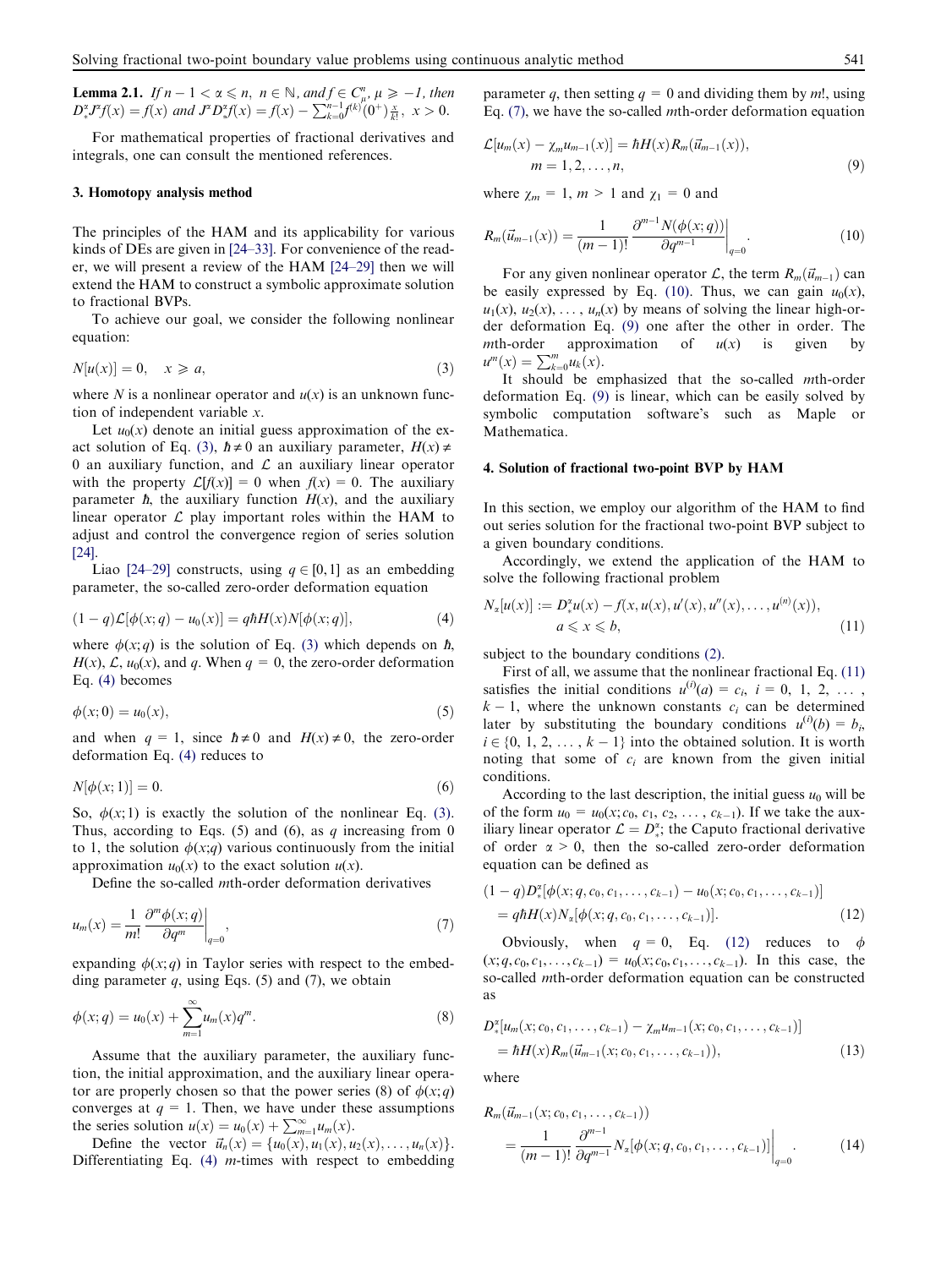**Lemma 2.1.** If  $n-1 < \alpha \leq n$ ,  $n \in \mathbb{N}$ , and  $f \in C_{\mu}^{n}$ ,  $\mu \geq -1$ , then  $D_*^{\alpha}$  $\int_{\alpha}^{\alpha} J^{\alpha} f(x) = f(x)$  and  $J^{\alpha} D_{\alpha}^{\alpha}$  $f(x) = f(x) - \sum_{k=0}^{n-1} f^{(k)}(0^+) \frac{x}{k!}, \quad x > 0.$ 

For mathematical properties of fractional derivatives and integrals, one can consult the mentioned references.

#### 3. Homotopy analysis method

The principles of the HAM and its applicability for various kinds of DEs are given in [24–33]. For convenience of the reader, we will present a review of the HAM [24–29] then we will extend the HAM to construct a symbolic approximate solution to fractional BVPs.

To achieve our goal, we consider the following nonlinear equation:

$$
N[u(x)] = 0, \quad x \geqslant a,\tag{3}
$$

where N is a nonlinear operator and  $u(x)$  is an unknown function of independent variable x.

Let  $u_0(x)$  denote an initial guess approximation of the exact solution of Eq. (3),  $\hbar \neq 0$  an auxiliary parameter,  $H(x) \neq 0$ 0 an auxiliary function, and  $\mathcal L$  an auxiliary linear operator with the property  $\mathcal{L}[f(x)] = 0$  when  $f(x) = 0$ . The auxiliary parameter  $\hbar$ , the auxiliary function  $H(x)$ , and the auxiliary linear operator  $\mathcal L$  play important roles within the HAM to adjust and control the convergence region of series solution [24].

Liao [24–29] constructs, using  $q \in [0, 1]$  as an embedding parameter, the so-called zero-order deformation equation

$$
(1-q)\mathcal{L}[\phi(x;q) - u_0(x)] = q\hbar H(x)N[\phi(x;q)],\tag{4}
$$

where  $\phi(x; q)$  is the solution of Eq. (3) which depends on  $\hbar$ ,  $H(x)$ ,  $\mathcal{L}$ ,  $u_0(x)$ , and q. When  $q = 0$ , the zero-order deformation Eq. (4) becomes

$$
\phi(x;0) = u_0(x),\tag{5}
$$

and when  $q = 1$ , since  $\hbar \neq 0$  and  $H(x) \neq 0$ , the zero-order deformation Eq. (4) reduces to

$$
N[\phi(x;1)] = 0.\t\t(6)
$$

So,  $\phi(x; 1)$  is exactly the solution of the nonlinear Eq. (3). Thus, according to Eqs. (5) and (6), as q increasing from 0 to 1, the solution  $\phi(x;q)$  various continuously from the initial approximation  $u_0(x)$  to the exact solution  $u(x)$ .

Define the so-called mth-order deformation derivatives

$$
u_m(x) = \frac{1}{m!} \left. \frac{\partial^m \phi(x; q)}{\partial q^m} \right|_{q=0},\tag{7}
$$

expanding  $\phi(x; q)$  in Taylor series with respect to the embedding parameter  $q$ , using Eqs. (5) and (7), we obtain

$$
\phi(x;q) = u_0(x) + \sum_{m=1}^{\infty} u_m(x) q^m.
$$
 (8)

Assume that the auxiliary parameter, the auxiliary function, the initial approximation, and the auxiliary linear operator are properly chosen so that the power series (8) of  $\phi(x; q)$ converges at  $q = 1$ . Then, we have under these assumptions the series solution  $u(x) = u_0(x) + \sum_{m=1}^{\infty} u_m(x)$ .

Define the vector  $\vec{u}_n(x) = \{u_0(x), u_1(x), u_2(x), \ldots, u_n(x)\}.$ Differentiating Eq.  $(4)$  *m*-times with respect to embedding parameter q, then setting  $q = 0$  and dividing them by m!, using Eq. (7), we have the so-called mth-order deformation equation

$$
\mathcal{L}[u_m(x) - \chi_m u_{m-1}(x)] = \hbar H(x) R_m(\vec{u}_{m-1}(x)),
$$
  
\n
$$
m = 1, 2, ..., n,
$$
\n(9)

where  $\gamma_m = 1$ ,  $m > 1$  and  $\gamma_1 = 0$  and

$$
R_m(\vec{u}_{m-1}(x)) = \frac{1}{(m-1)!} \frac{\partial^{m-1} N(\phi(x;q))}{\partial q^{m-1}} \bigg|_{q=0}.
$$
 (10)

For any given nonlinear operator L, the term  $R_m(\vec{u}_{m-1})$  can be easily expressed by Eq. (10). Thus, we can gain  $u_0(x)$ ,  $u_1(x)$ ,  $u_2(x)$ , ...,  $u_n(x)$  by means of solving the linear high-order deformation Eq. (9) one after the other in order. The mth-order approximation of  $u(x)$  is given by  $u^m(x) = \sum_{k=0}^m u_k(x).$ 

It should be emphasized that the so-called mth-order deformation Eq. (9) is linear, which can be easily solved by symbolic computation software's such as Maple or Mathematica.

#### 4. Solution of fractional two-point BVP by HAM

In this section, we employ our algorithm of the HAM to find out series solution for the fractional two-point BVP subject to a given boundary conditions.

Accordingly, we extend the application of the HAM to solve the following fractional problem

$$
N_{\alpha}[u(x)] := D_{\ast}^{\alpha}u(x) - f(x, u(x), u'(x), u''(x), \dots, u^{(n)}(x)),
$$
  
  $a \le x \le b,$  (11)

subject to the boundary conditions (2).

First of all, we assume that the nonlinear fractional Eq. (11) satisfies the initial conditions  $u^{(i)}(a) = c_i$ ,  $i = 0, 1, 2, \ldots$ ,  $k - 1$ , where the unknown constants  $c_i$  can be determined later by substituting the boundary conditions  $u^{(i)}(b) = b_i$ ,  $i \in \{0, 1, 2, \ldots, k - 1\}$  into the obtained solution. It is worth noting that some of  $c_i$  are known from the given initial conditions.

According to the last description, the initial guess  $u_0$  will be of the form  $u_0 = u_0(x; c_0, c_1, c_2, \dots, c_{k-1})$ . If we take the auxiliary linear operator  $\mathcal{L} = D_*^{\alpha}$ ; the Caputo fractional derivative of order  $\alpha > 0$ , then the so-called zero-order deformation equation can be defined as

$$
(1-q)D_*^{\alpha}[\phi(x;q,c_0,c_1,\ldots,c_{k-1})-u_0(x;c_0,c_1,\ldots,c_{k-1})]
$$
  
=  $q\hbar H(x)N_{\alpha}[\phi(x;q,c_0,c_1,\ldots,c_{k-1})].$  (12)

Obviously, when  $q = 0$ , Eq. (12) reduces to  $\phi$  $(x; q, c_0, c_1, \ldots, c_{k-1}) = u_0(x; c_0, c_1, \ldots, c_{k-1})$ . In this case, the so-called mth-order deformation equation can be constructed as

$$
D_{*}^{2}[u_{m}(x; c_{0}, c_{1}, \ldots, c_{k-1}) - \chi_{m}u_{m-1}(x; c_{0}, c_{1}, \ldots, c_{k-1})] = \hbar H(x)R_{m}(\vec{u}_{m-1}(x; c_{0}, c_{1}, \ldots, c_{k-1})),
$$
\n(13)

where

$$
R_m(\vec{u}_{m-1}(x; c_0, c_1, \dots, c_{k-1}))
$$
  
= 
$$
\frac{1}{(m-1)!} \frac{\partial^{m-1}}{\partial q^{m-1}} N_x[\phi(x; q, c_0, c_1, \dots, c_{k-1})] \Big|_{q=0}.
$$
 (14)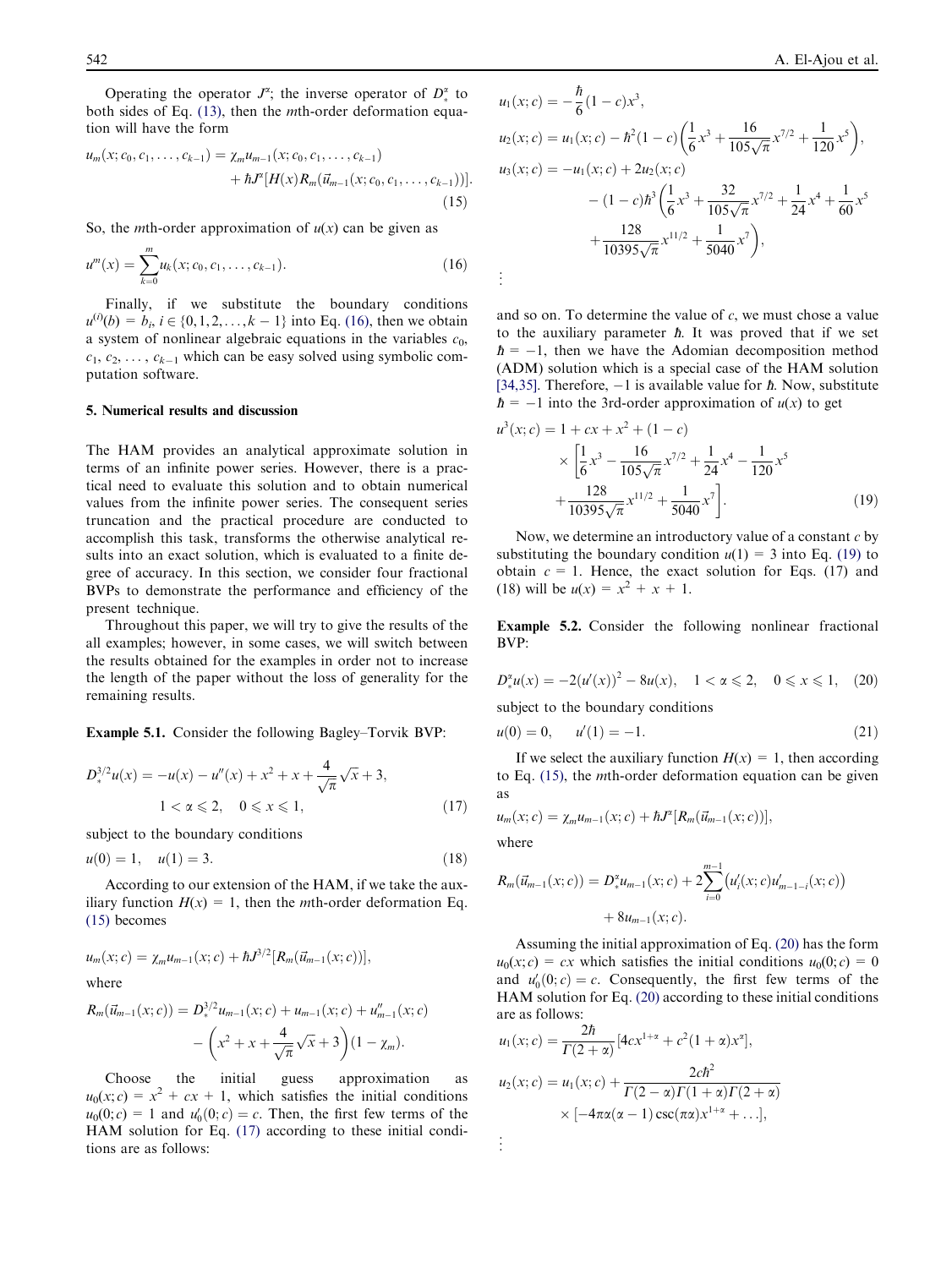Operating the operator  $J^{\alpha}$ ; the inverse operator of  $D_*^{\alpha}$  to both sides of Eq. (13), then the *m*th-order deformation equation will have the form

$$
u_m(x; c_0, c_1, \ldots, c_{k-1}) = \chi_m u_{m-1}(x; c_0, c_1, \ldots, c_{k-1}) + \hbar J^z [H(x) R_m(\vec{u}_{m-1}(x; c_0, c_1, \ldots, c_{k-1}))].
$$
\n(15)

So, the *mth*-order approximation of  $u(x)$  can be given as

$$
u^{m}(x) = \sum_{k=0}^{m} u_{k}(x; c_{0}, c_{1}, \dots, c_{k-1}).
$$
\n(16)

Finally, if we substitute the boundary conditions  $u^{(i)}(b) = b_i, i \in \{0, 1, 2, \ldots, k - 1\}$  into Eq. (16), then we obtain a system of nonlinear algebraic equations in the variables  $c_0$ ,  $c_1, c_2, \ldots, c_{k-1}$  which can be easy solved using symbolic computation software.

## 5. Numerical results and discussion

The HAM provides an analytical approximate solution in terms of an infinite power series. However, there is a practical need to evaluate this solution and to obtain numerical values from the infinite power series. The consequent series truncation and the practical procedure are conducted to accomplish this task, transforms the otherwise analytical results into an exact solution, which is evaluated to a finite degree of accuracy. In this section, we consider four fractional BVPs to demonstrate the performance and efficiency of the present technique.

Throughout this paper, we will try to give the results of the all examples; however, in some cases, we will switch between the results obtained for the examples in order not to increase the length of the paper without the loss of generality for the remaining results.

Example 5.1. Consider the following Bagley–Torvik BVP:

$$
D_*^{3/2}u(x) = -u(x) - u''(x) + x^2 + x + \frac{4}{\sqrt{\pi}}\sqrt{x} + 3,
$$
  
 
$$
1 < \alpha \leq 2, \quad 0 \leq x \leq 1,
$$
 (17)

subject to the boundary conditions

$$
u(0) = 1, \quad u(1) = 3. \tag{18}
$$

According to our extension of the HAM, if we take the auxiliary function  $H(x) = 1$ , then the *m*th-order deformation Eq. (15) becomes

$$
u_m(x; c) = \chi_m u_{m-1}(x; c) + \hbar J^{3/2} [R_m(\vec{u}_{m-1}(x; c))],
$$
  
where  

$$
R_m(\vec{u}_{m-1}(x; c)) = D_*^{3/2} u_{m-1}(x; c) + u_{m-1}(x; c) + u_{m-1}''(x; c)
$$

$$
- \left(x^2 + x + \frac{4}{\sqrt{\pi}}\sqrt{x} + 3\right)(1 - \chi_m).
$$

Choose the initial guess approximation as  $u_0(x; c) = x^2 + cx + 1$ , which satisfies the initial conditions  $u_0(0; c) = 1$  and  $u'_0(0; c) = c$ . Then, the first few terms of the HAM solution for Eq. (17) according to these initial conditions are as follows:

$$
u_1(x;c) = -\frac{\hbar}{6}(1-c)x^3,
$$
  
\n
$$
u_2(x;c) = u_1(x;c) - \hbar^2(1-c)\left(\frac{1}{6}x^3 + \frac{16}{105\sqrt{\pi}}x^{7/2} + \frac{1}{120}x^5\right),
$$
  
\n
$$
u_3(x;c) = -u_1(x;c) + 2u_2(x;c)
$$
  
\n
$$
- (1-c)\hbar^3\left(\frac{1}{6}x^3 + \frac{32}{105\sqrt{\pi}}x^{7/2} + \frac{1}{24}x^4 + \frac{1}{60}x^5 + \frac{128}{10395\sqrt{\pi}}x^{11/2} + \frac{1}{5040}x^7\right),
$$
  
\n
$$
\vdots
$$

 $\overline{t}$ 

and so on. To determine the value of  $c$ , we must chose a value to the auxiliary parameter *. It was proved that if we set , then we have the Adomian decomposition method* (ADM) solution which is a special case of the HAM solution [34,35]. Therefore,  $-1$  is available value for  $\hbar$ . Now, substitute  $\hbar = -1$  into the 3rd-order approximation of  $u(x)$  to get

$$
u^{3}(x; c) = 1 + cx + x^{2} + (1 - c)
$$
  
 
$$
\times \left[\frac{1}{6}x^{3} - \frac{16}{105\sqrt{\pi}}x^{7/2} + \frac{1}{24}x^{4} - \frac{1}{120}x^{5} + \frac{128}{10395\sqrt{\pi}}x^{11/2} + \frac{1}{5040}x^{7}\right].
$$
 (19)

Now, we determine an introductory value of a constant  $c$  by substituting the boundary condition  $u(1) = 3$  into Eq. (19) to obtain  $c = 1$ . Hence, the exact solution for Eqs. (17) and (18) will be  $u(x) = x^2 + x + 1$ .

Example 5.2. Consider the following nonlinear fractional BVP:

$$
D_{*}^{x}u(x) = -2(u'(x))^{2} - 8u(x), \quad 1 < x \le 2, \quad 0 \le x \le 1, \quad (20)
$$

subject to the boundary conditions

$$
u(0) = 0, \qquad u'(1) = -1. \tag{21}
$$

If we select the auxiliary function  $H(x) = 1$ , then according to Eq. (15), the mth-order deformation equation can be given as

$$
u_m(x;c) = \chi_m u_{m-1}(x;c) + \hbar J^{\alpha}[R_m(\vec{u}_{m-1}(x;c))],
$$

where

. .

$$
R_m(\vec{u}_{m-1}(x;c)) = D^{\alpha}_{*}u_{m-1}(x;c) + 2\sum_{i=0}^{m-1} (u'_i(x;c)u'_{m-1-i}(x;c)) + 8u_{m-1}(x;c).
$$

Assuming the initial approximation of Eq. (20) has the form  $u_0(x; c) = cx$  which satisfies the initial conditions  $u_0(0; c) = 0$ and  $u'_0(0; c) = c$ . Consequently, the first few terms of the HAM solution for Eq. (20) according to these initial conditions are as follows:

$$
u_1(x; c) = \frac{2\hbar}{\Gamma(2+\alpha)} [4cx^{1+\alpha} + c^2(1+\alpha)x^{\alpha}],
$$
  
\n
$$
u_2(x; c) = u_1(x; c) + \frac{2c\hbar^2}{\Gamma(2-\alpha)\Gamma(1+\alpha)\Gamma(2+\alpha)}
$$
  
\n
$$
\times [-4\pi\alpha(\alpha-1)\csc(\pi\alpha)x^{1+\alpha} + ...],
$$
  
\n.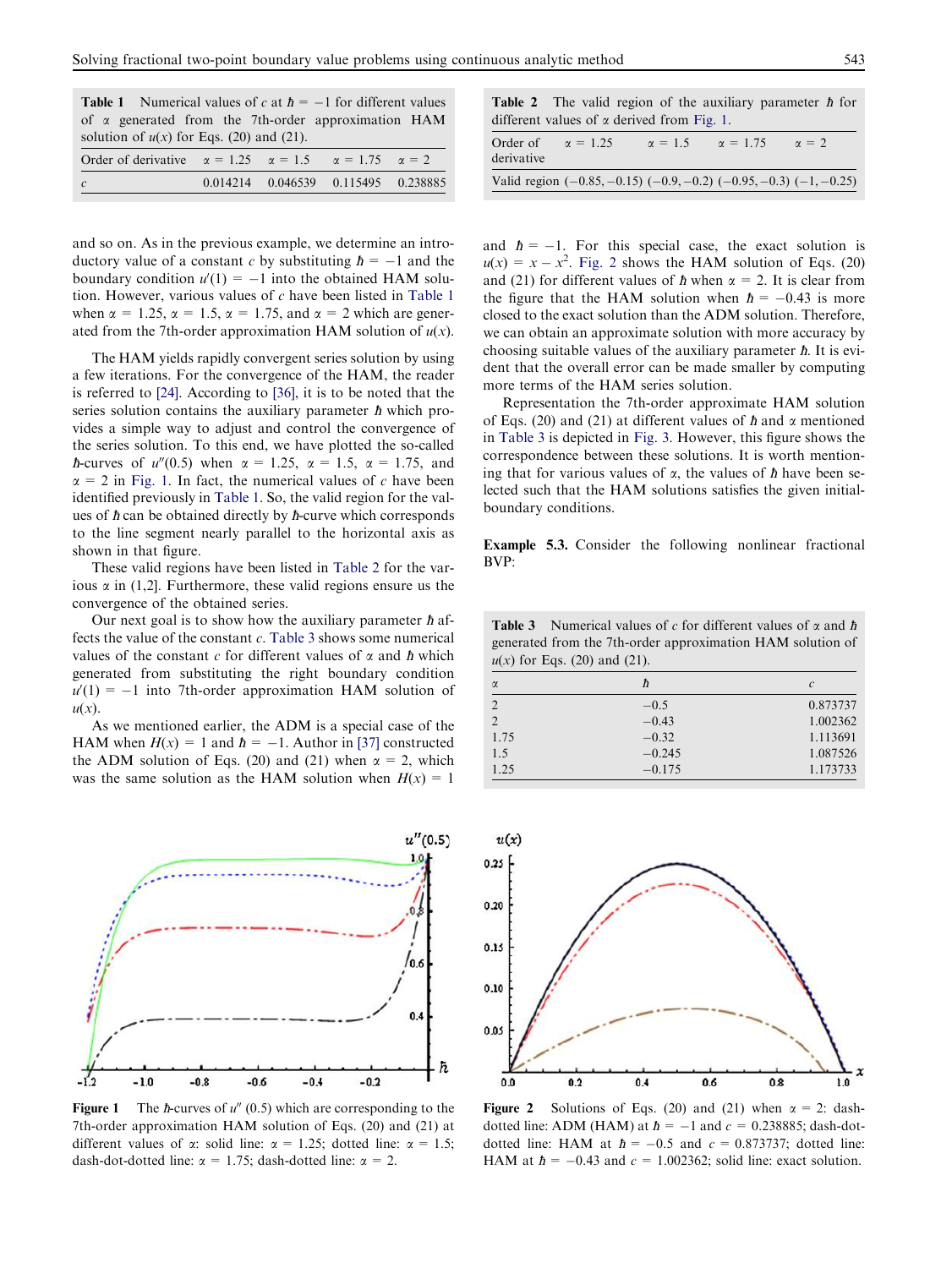|  |  |                                            | <b>Table 1</b> Numerical values of c at $\hbar = -1$ for different values |  |
|--|--|--------------------------------------------|---------------------------------------------------------------------------|--|
|  |  |                                            | of $\alpha$ generated from the 7th-order approximation HAM                |  |
|  |  | solution of $u(x)$ for Eqs. (20) and (21). |                                                                           |  |

| Order of derivative $\alpha = 1.25$ $\alpha = 1.5$ $\alpha = 1.75$ $\alpha = 2$ |                                     |  |
|---------------------------------------------------------------------------------|-------------------------------------|--|
|                                                                                 | 0.014214 0.046539 0.115495 0.238885 |  |

and so on. As in the previous example, we determine an introductory value of a constant c by substituting  $\hbar = -1$  and the boundary condition  $u'(1) = -1$  into the obtained HAM solution. However, various values of  $c$  have been listed in Table 1 when  $\alpha = 1.25$ ,  $\alpha = 1.5$ ,  $\alpha = 1.75$ , and  $\alpha = 2$  which are generated from the 7th-order approximation HAM solution of  $u(x)$ .

The HAM yields rapidly convergent series solution by using a few iterations. For the convergence of the HAM, the reader is referred to [24]. According to [36], it is to be noted that the series solution contains the auxiliary parameter  $\hbar$  which provides a simple way to adjust and control the convergence of the series solution. To this end, we have plotted the so-called *h*-curves of  $u''(0.5)$  when  $\alpha = 1.25$ ,  $\alpha = 1.5$ ,  $\alpha = 1.75$ , and  $\alpha$  = 2 in Fig. 1. In fact, the numerical values of c have been identified previously in Table 1. So, the valid region for the values of  $\hbar$  can be obtained directly by  $\hbar$ -curve which corresponds to the line segment nearly parallel to the horizontal axis as shown in that figure.

These valid regions have been listed in Table 2 for the various  $\alpha$  in (1,2]. Furthermore, these valid regions ensure us the convergence of the obtained series.

Our next goal is to show how the auxiliary parameter  $\hbar$  affects the value of the constant  $c$ . Table 3 shows some numerical values of the constant c for different values of  $\alpha$  and  $\hbar$  which generated from substituting the right boundary condition  $u'(1) = -1$  into 7th-order approximation HAM solution of  $u(x)$ .

As we mentioned earlier, the ADM is a special case of the HAM when  $H(x) = 1$  and  $\hbar = -1$ . Author in [37] constructed the ADM solution of Eqs. (20) and (21) when  $\alpha = 2$ , which was the same solution as the HAM solution when  $H(x)=1$ 



**Figure 1** The *h*-curves of  $u''(0.5)$  which are corresponding to the 7th-order approximation HAM solution of Eqs. (20) and (21) at different values of  $\alpha$ : solid line:  $\alpha = 1.25$ ; dotted line:  $\alpha = 1.5$ ; dash-dot-dotted line:  $\alpha = 1.75$ ; dash-dotted line:  $\alpha = 2$ .

|                                                   |  |  | <b>Table 2</b> The valid region of the auxiliary parameter $\hbar$ for |  |
|---------------------------------------------------|--|--|------------------------------------------------------------------------|--|
| different values of $\alpha$ derived from Fig. 1. |  |  |                                                                        |  |

| Order of<br>derivative | $\alpha = 1.25$                                                            | $\alpha = 1.5$ | $\alpha = 1.75$ | $\alpha = 2$ |
|------------------------|----------------------------------------------------------------------------|----------------|-----------------|--------------|
|                        | Valid region $(-0.85, -0.15)$ $(-0.9, -0.2)$ $(-0.95, -0.3)$ $(-1, -0.25)$ |                |                 |              |

and  $h = -1$ . For this special case, the exact solution is  $u(x) = x - x^2$ . Fig. 2 shows the HAM solution of Eqs. (20) and (21) for different values of  $\hbar$  when  $\alpha = 2$ . It is clear from the figure that the HAM solution when  $\hbar = -0.43$  is more closed to the exact solution than the ADM solution. Therefore, we can obtain an approximate solution with more accuracy by choosing suitable values of the auxiliary parameter  $\hbar$ . It is evident that the overall error can be made smaller by computing more terms of the HAM series solution.

Representation the 7th-order approximate HAM solution of Eqs. (20) and (21) at different values of  $\hbar$  and  $\alpha$  mentioned in Table 3 is depicted in Fig. 3. However, this figure shows the correspondence between these solutions. It is worth mentioning that for various values of  $\alpha$ , the values of  $\hbar$  have been selected such that the HAM solutions satisfies the given initialboundary conditions.

Example 5.3. Consider the following nonlinear fractional BVP:

**Table 3** Numerical values of c for different values of  $\alpha$  and  $\hbar$ generated from the 7th-order approximation HAM solution of  $u(x)$  for Eqs. (20) and (21).

| $\alpha$       | ħ        | $\mathcal{C}_{0}^{2}$ |
|----------------|----------|-----------------------|
| $\mathfrak{D}$ | $-0.5$   | 0.873737              |
| $\overline{2}$ | $-0.43$  | 1.002362              |
| 1.75           | $-0.32$  | 1.113691              |
| 1.5            | $-0.245$ | 1.087526              |
| 1.25           | $-0.175$ | 1.173733              |



Figure 2 Solutions of Eqs. (20) and (21) when  $\alpha = 2$ : dashdotted line: ADM (HAM) at  $\hbar = -1$  and  $c = 0.238885$ ; dash-dotdotted line: HAM at  $\hbar = -0.5$  and  $c = 0.873737$ ; dotted line: HAM at  $\hbar = -0.43$  and  $c = 1.002362$ ; solid line: exact solution.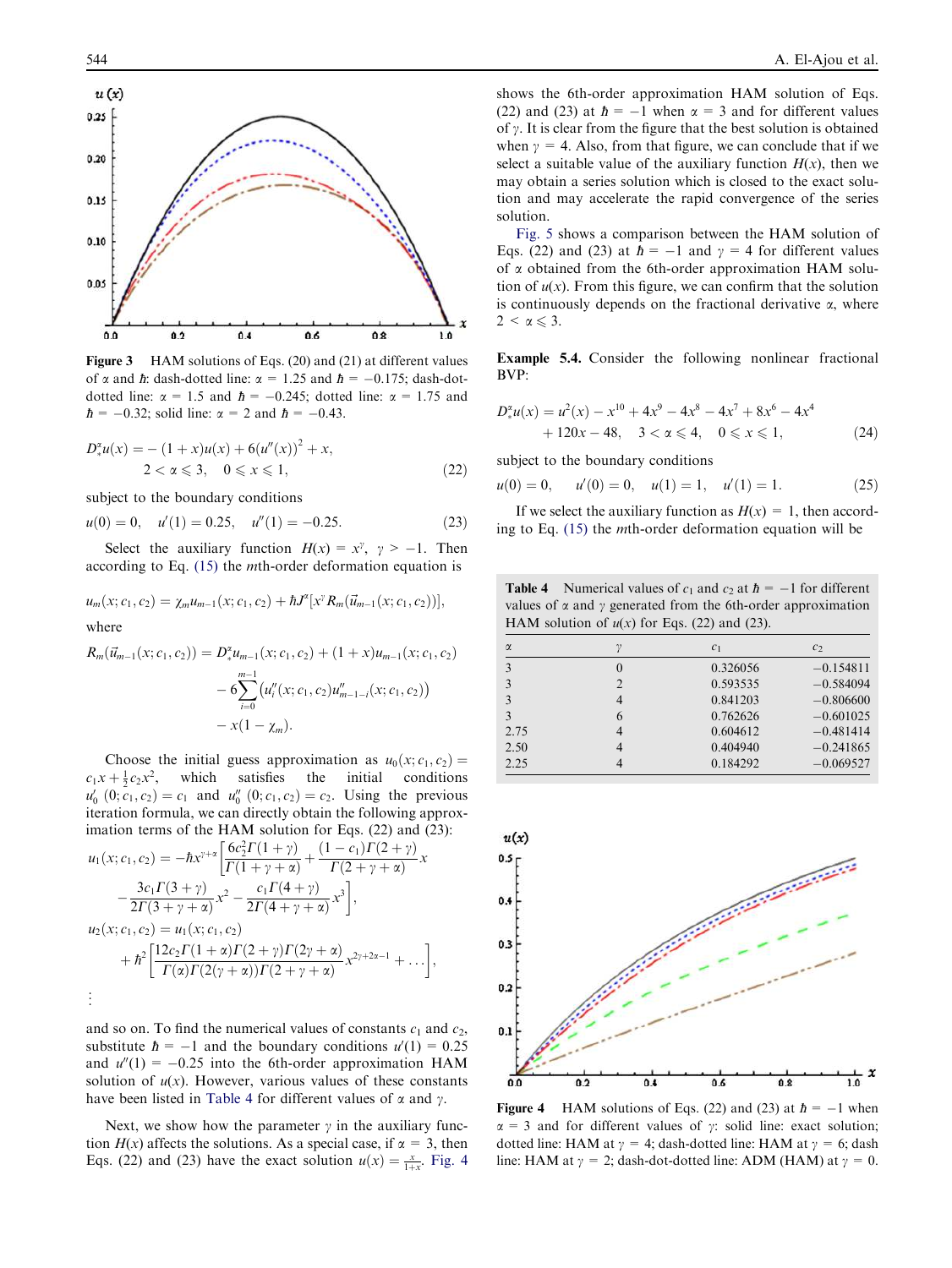

Figure 3 HAM solutions of Eqs. (20) and (21) at different values of  $\alpha$  and  $\hbar$ : dash-dotted line:  $\alpha = 1.25$  and  $\hbar = -0.175$ ; dash-dotdotted line:  $\alpha = 1.5$  and  $\hbar = -0.245$ ; dotted line:  $\alpha = 1.75$  and *; solid line:*  $\alpha = 2$  *and*  $*h* = -0.43$ *.* 

$$
D_{*}^{z}u(x) = -(1+x)u(x) + 6(u''(x))^{2} + x,
$$
  
2 < \alpha \le 3, 0 \le x \le 1, (22)

subject to the boundary conditions

 $u(0) = 0, \quad u'(1) = 0.25, \quad u''(1) = -0.25.$  (23)

Select the auxiliary function  $H(x) = x^{\gamma}$ ,  $\gamma > -1$ . Then according to Eq. (15) the mth-order deformation equation is

$$
u_m(x;c_1,c_2) = \chi_m u_{m-1}(x;c_1,c_2) + \hbar J^{\alpha} [x^{\gamma} R_m(\vec{u}_{m-1}(x;c_1,c_2))],
$$
  
where

$$
R_m(\vec{u}_{m-1}(x;c_1,c_2)) = D_*^{\alpha} u_{m-1}(x;c_1,c_2) + (1+x)u_{m-1}(x;c_1,c_2)
$$
  
- 
$$
6\sum_{i=0}^{m-1} (u_i''(x;c_1,c_2)u_{m-1-i}''(x;c_1,c_2))
$$
  
- 
$$
x(1-\chi_m).
$$

Choose the initial guess approximation as  $u_0(x; c_1, c_2) = c + \frac{1}{2}c_2x^2$ , which satisfies the initial conditions  $c_1x + \frac{1}{2}c_2x^2$ , which satisfies the initial conditions  $u'_0$   $(0; c_1, c_2) = c_1$  and  $u''_0$   $(0; c_1, c_2) = c_2$ . Using the previous iteration formula, we can directly obtain the following approximation terms of the HAM solution for Eqs. (22) and (23):

$$
u_1(x; c_1, c_2) = -\hbar x^{\gamma+\alpha} \left[ \frac{6c_2^2 \Gamma(1+\gamma)}{\Gamma(1+\gamma+\alpha)} + \frac{(1-c_1)\Gamma(2+\gamma)}{\Gamma(2+\gamma+\alpha)} x \right. \\ \left. - \frac{3c_1 \Gamma(3+\gamma)}{2\Gamma(3+\gamma+\alpha)} x^2 - \frac{c_1 \Gamma(4+\gamma)}{2\Gamma(4+\gamma+\alpha)} x^3 \right],
$$
  
\n
$$
u_2(x; c_1, c_2) = u_1(x; c_1, c_2) \\ \left. + \hbar^2 \left[ \frac{12c_2 \Gamma(1+\alpha)\Gamma(2+\gamma)\Gamma(2\gamma+\alpha)}{\Gamma(\alpha)\Gamma(2(\gamma+\alpha))\Gamma(2+\gamma+\alpha)} x^{2\gamma+2\alpha-1} + \dots \right],
$$
  
\n
$$
\vdots
$$

and so on. To find the numerical values of constants  $c_1$  and  $c_2$ , substitute  $\hbar = -1$  and the boundary conditions  $u'(1) = 0.25$ and  $u''(1) = -0.25$  into the 6th-order approximation HAM solution of  $u(x)$ . However, various values of these constants have been listed in Table 4 for different values of  $\alpha$  and  $\gamma$ .

Next, we show how the parameter  $\gamma$  in the auxiliary function  $H(x)$  affects the solutions. As a special case, if  $\alpha = 3$ , then Eqs. (22) and (23) have the exact solution  $u(x) = \frac{x}{1+x}$ . Fig. 4

shows the 6th-order approximation HAM solution of Eqs. (22) and (23) at  $\hbar = -1$  when  $\alpha = 3$  and for different values of  $\gamma$ . It is clear from the figure that the best solution is obtained when  $y = 4$ . Also, from that figure, we can conclude that if we select a suitable value of the auxiliary function  $H(x)$ , then we may obtain a series solution which is closed to the exact solution and may accelerate the rapid convergence of the series solution.

Fig. 5 shows a comparison between the HAM solution of Eqs. (22) and (23) at  $\hbar = -1$  and  $\gamma = 4$  for different values of  $\alpha$  obtained from the 6th-order approximation HAM solution of  $u(x)$ . From this figure, we can confirm that the solution is continuously depends on the fractional derivative  $\alpha$ , where  $2 < \alpha \leq 3$ .

Example 5.4. Consider the following nonlinear fractional BVP:

$$
D_{*}^{x}u(x) = u^{2}(x) - x^{10} + 4x^{9} - 4x^{8} - 4x^{7} + 8x^{6} - 4x^{4}
$$
  
+ 120x - 48, 3  $\alpha \le 4$ , 0  $\le x \le 1$ , (24)

subject to the boundary conditions

$$
u(0) = 0,
$$
  $u'(0) = 0,$   $u(1) = 1,$   $u'(1) = 1.$  (25)

If we select the auxiliary function as  $H(x) = 1$ , then according to Eq. (15) the mth-order deformation equation will be

**Table 4** Numerical values of  $c_1$  and  $c_2$  at  $\hbar = -1$  for different values of  $\alpha$  and  $\gamma$  generated from the 6th-order approximation HAM solution of  $u(x)$  for Eqs. (22) and (23).

| $\alpha$ |   | c <sub>1</sub> | c <sub>2</sub> |
|----------|---|----------------|----------------|
| 3        | 0 | 0.326056       | $-0.154811$    |
| 3        | 2 | 0.593535       | $-0.584094$    |
| 3        | 4 | 0.841203       | $-0.806600$    |
| 3        | 6 | 0.762626       | $-0.601025$    |
| 2.75     | 4 | 0.604612       | $-0.481414$    |
| 2.50     | 4 | 0.404940       | $-0.241865$    |
| 2.25     |   | 0.184292       | $-0.069527$    |



Figure 4 HAM solutions of Eqs. (22) and (23) at  $\hbar = -1$  when  $\alpha = 3$  and for different values of  $\gamma$ : solid line: exact solution; dotted line: HAM at  $\gamma = 4$ ; dash-dotted line: HAM at  $\gamma = 6$ ; dash line: HAM at  $\gamma = 2$ ; dash-dot-dotted line: ADM (HAM) at  $\gamma = 0$ .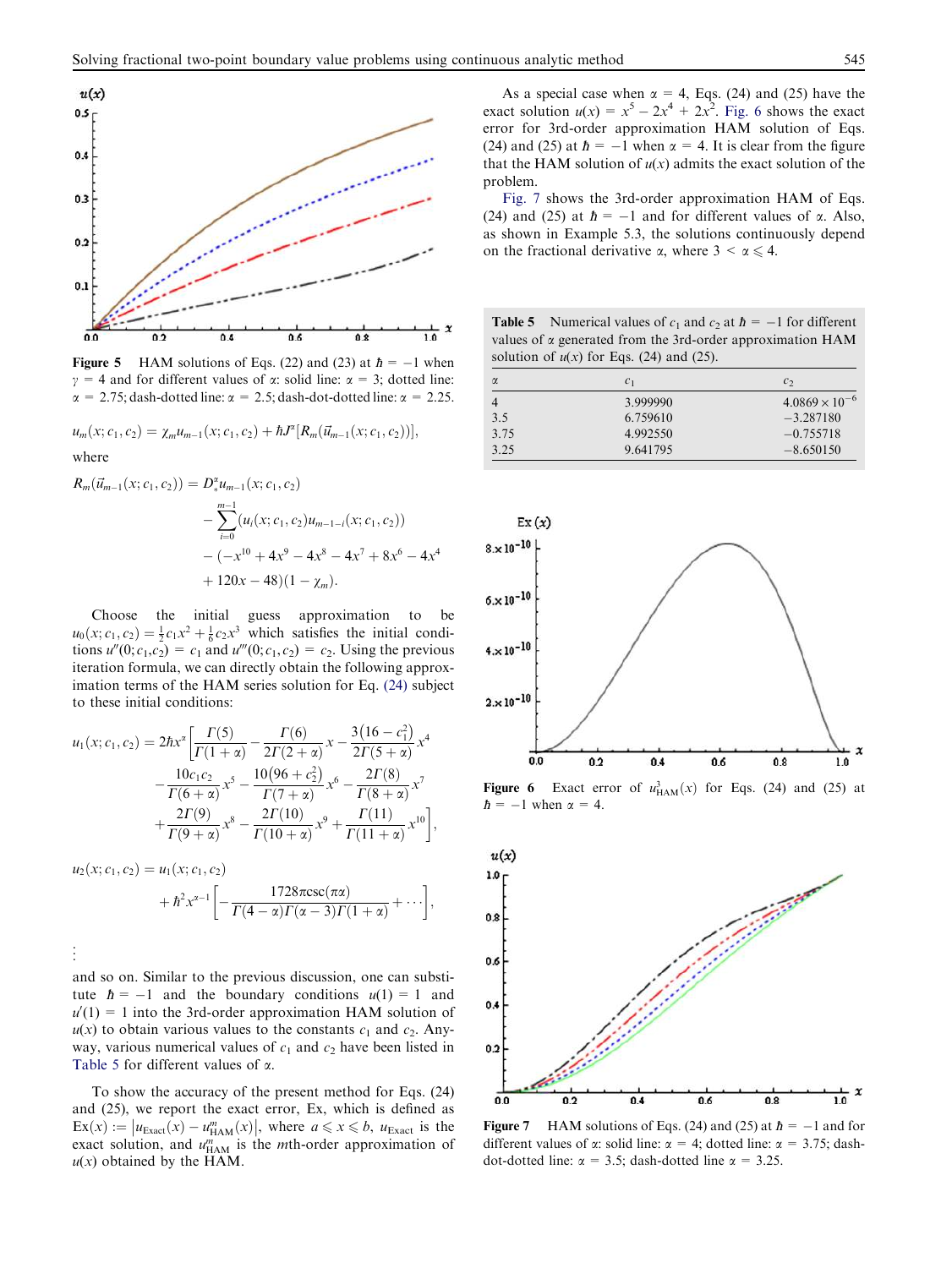

**Figure 5** HAM solutions of Eqs. (22) and (23) at  $\hbar = -1$  when  $\gamma = 4$  and for different values of  $\alpha$ : solid line:  $\alpha = 3$ ; dotted line:  $\alpha$  = 2.75; dash-dotted line:  $\alpha$  = 2.5; dash-dot-dotted line:  $\alpha$  = 2.25.

$$
u_m(x;c_1,c_2)=\chi_mu_{m-1}(x;c_1,c_2)+\hbar J^{\alpha}[R_m(\vec{u}_{m-1}(x;c_1,c_2))],
$$

where

$$
R_m(\vec{u}_{m-1}(x;c_1,c_2)) = D_*^{\alpha} u_{m-1}(x;c_1,c_2)
$$
  

$$
- \sum_{i=0}^{m-1} (u_i(x;c_1,c_2)u_{m-1-i}(x;c_1,c_2))
$$
  

$$
- (-x^{10} + 4x^9 - 4x^8 - 4x^7 + 8x^6 - 4x^4 + 120x - 48)(1 - \chi_m).
$$

Choose the initial guess approximation to be  $u_0(x; c_1, c_2) = \frac{1}{2}c_1x^2 + \frac{1}{6}c_2x^3$  which satisfies the initial conditions  $u''(0; c_1, c_2) = c_1$  and  $u'''(0; c_1, c_2) = c_2$ . Using the previous iteration formula, we can directly obtain the following approximation terms of the HAM series solution for Eq. (24) subject to these initial conditions:

$$
u_1(x; c_1, c_2) = 2\hbar x^{\alpha} \left[ \frac{\Gamma(5)}{\Gamma(1+\alpha)} - \frac{\Gamma(6)}{2\Gamma(2+\alpha)} x - \frac{3(16-c_1^2)}{2\Gamma(5+\alpha)} x^4 - \frac{10c_1c_2}{\Gamma(6+\alpha)} x^5 - \frac{10(96+c_2^2)}{\Gamma(7+\alpha)} x^6 - \frac{2\Gamma(8)}{\Gamma(8+\alpha)} x^7 + \frac{2\Gamma(9)}{\Gamma(9+\alpha)} x^8 - \frac{2\Gamma(10)}{\Gamma(10+\alpha)} x^9 + \frac{\Gamma(11)}{\Gamma(11+\alpha)} x^{10} \right],
$$

 $u_2(x; c_1, c_2) = u_1(x; c_1, c_2)$ 

$$
+\hbar^2x^{\alpha-1}\bigg[-\frac{1728\pi csc(\pi\alpha)}{\Gamma(4-\alpha)\Gamma(\alpha-3)\Gamma(1+\alpha)}+\cdots\bigg],
$$

. . .

and so on. Similar to the previous discussion, one can substitute  $h = -1$  and the boundary conditions  $u(1) = 1$  and  $u'(1) = 1$  into the 3rd-order approximation HAM solution of  $u(x)$  to obtain various values to the constants  $c_1$  and  $c_2$ . Anyway, various numerical values of  $c_1$  and  $c_2$  have been listed in Table 5 for different values of  $\alpha$ .

To show the accuracy of the present method for Eqs. (24) and (25), we report the exact error, Ex, which is defined as  $\text{Ex}(x) := |u_{\text{Exact}}(x) - u_{\text{HAM}}^m(x)|$ , where  $a \le x \le b$ ,  $u_{\text{Exact}}$  is the exact solution, and  $u_{\text{HAM}}^m$  is the *m*th-order approximation of  $u(x)$  obtained by the HAM.

As a special case when  $\alpha = 4$ , Eqs. (24) and (25) have the exact solution  $u(x) = x^5 - 2x^4 + 2x^2$ . Fig. 6 shows the exact error for 3rd-order approximation HAM solution of Eqs. (24) and (25) at  $\hbar = -1$  when  $\alpha = 4$ . It is clear from the figure that the HAM solution of  $u(x)$  admits the exact solution of the problem.

Fig. 7 shows the 3rd-order approximation HAM of Eqs. (24) and (25) at  $\hbar = -1$  and for different values of  $\alpha$ . Also, as shown in Example 5.3, the solutions continuously depend on the fractional derivative  $\alpha$ , where  $3 < \alpha \leq 4$ .

**Table 5** Numerical values of  $c_1$  and  $c_2$  at  $\hbar = -1$  for different values of  $\alpha$  generated from the 3rd-order approximation HAM solution of  $u(x)$  for Eqs. (24) and (25).

| $\alpha$ | c <sub>1</sub> | $\mathcal{C}$           |
|----------|----------------|-------------------------|
|          | 3.999990       | $4.0869 \times 10^{-6}$ |
| 3.5      | 6.759610       | $-3.287180$             |
| 3.75     | 4.992550       | $-0.755718$             |
| 3.25     | 9.641795       | $-8.650150$             |



**Figure 6** Exact error of  $u_{\text{HAM}}^3(x)$  for Eqs. (24) and (25) at  $\hbar = -1$  when  $\alpha = 4$ .



**Figure 7** HAM solutions of Eqs. (24) and (25) at  $\hbar = -1$  and for different values of  $\alpha$ : solid line:  $\alpha = 4$ ; dotted line:  $\alpha = 3.75$ ; dashdot-dotted line:  $\alpha = 3.5$ ; dash-dotted line  $\alpha = 3.25$ .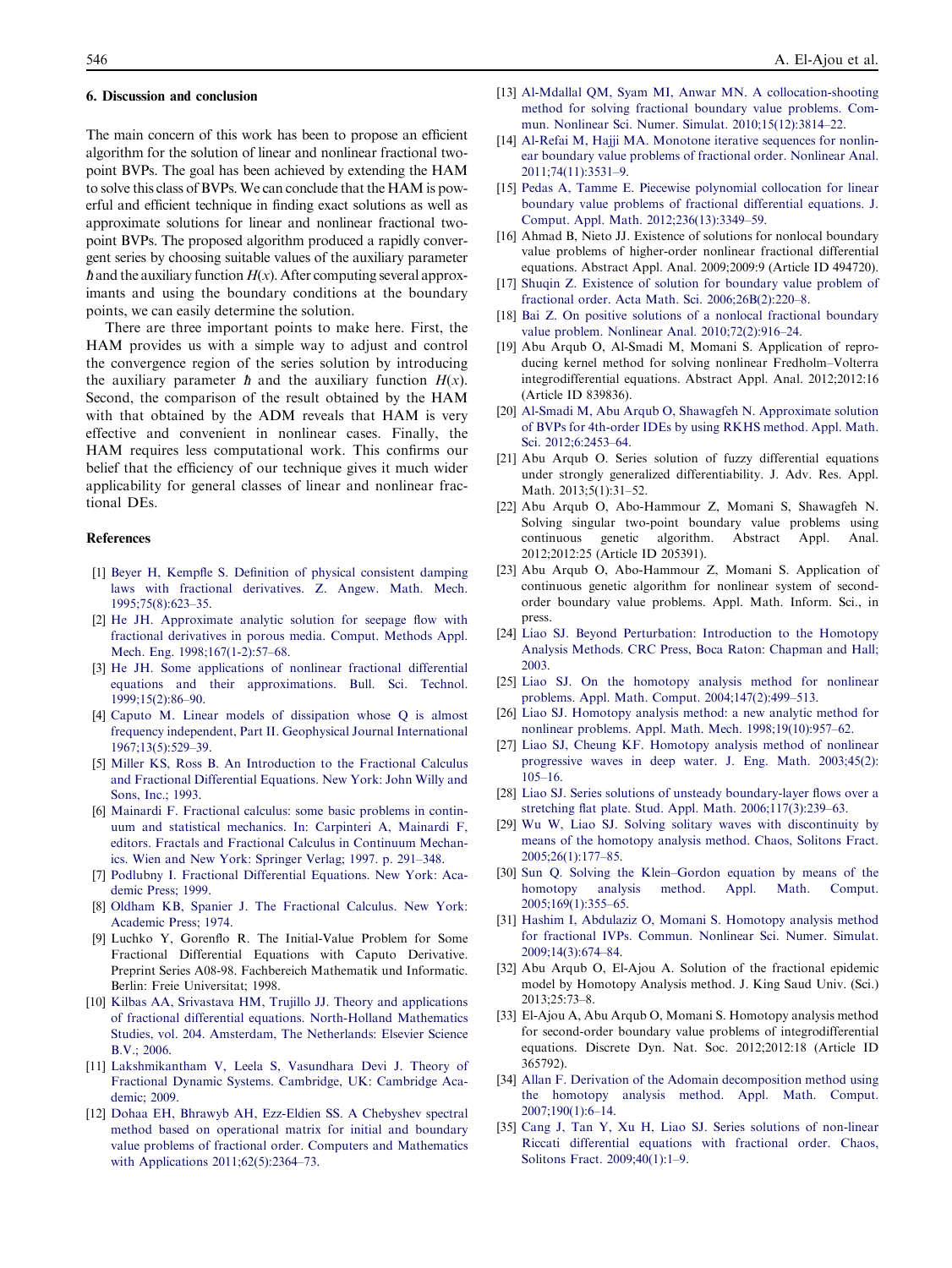#### 6. Discussion and conclusion

The main concern of this work has been to propose an efficient algorithm for the solution of linear and nonlinear fractional twopoint BVPs. The goal has been achieved by extending the HAM to solve this class of BVPs. We can conclude that the HAM is powerful and efficient technique in finding exact solutions as well as approximate solutions for linear and nonlinear fractional twopoint BVPs. The proposed algorithm produced a rapidly convergent series by choosing suitable values of the auxiliary parameter  $\hbar$  and the auxiliary function  $H(x)$ . After computing several approximants and using the boundary conditions at the boundary points, we can easily determine the solution.

There are three important points to make here. First, the HAM provides us with a simple way to adjust and control the convergence region of the series solution by introducing the auxiliary parameter  $\hbar$  and the auxiliary function  $H(x)$ . Second, the comparison of the result obtained by the HAM with that obtained by the ADM reveals that HAM is very effective and convenient in nonlinear cases. Finally, the HAM requires less computational work. This confirms our belief that the efficiency of our technique gives it much wider applicability for general classes of linear and nonlinear fractional DEs.

#### References

- [1] Beyer H, Kempfle S. Definition of physical consistent damping laws with fractional derivatives. Z. Angew. Math. Mech. 1995;75(8):623–35.
- [2] He JH. Approximate analytic solution for seepage flow with fractional derivatives in porous media. Comput. Methods Appl. Mech. Eng. 1998;167(1-2):57–68.
- [3] He JH. Some applications of nonlinear fractional differential equations and their approximations. Bull. Sci. Technol. 1999;15(2):86–90.
- [4] Caputo M. Linear models of dissipation whose Q is almost frequency independent, Part II. Geophysical Journal International 1967;13(5):529–39.
- [5] Miller KS, Ross B. An Introduction to the Fractional Calculus and Fractional Differential Equations. New York: John Willy and Sons, Inc.; 1993.
- [6] Mainardi F. Fractional calculus: some basic problems in continuum and statistical mechanics. In: Carpinteri A, Mainardi F, editors. Fractals and Fractional Calculus in Continuum Mechanics. Wien and New York: Springer Verlag; 1997. p. 291–348.
- [7] Podlubny I. Fractional Differential Equations. New York: Academic Press; 1999.
- [8] Oldham KB, Spanier J. The Fractional Calculus. New York: Academic Press; 1974.
- [9] Luchko Y, Gorenflo R. The Initial-Value Problem for Some Fractional Differential Equations with Caputo Derivative. Preprint Series A08-98. Fachbereich Mathematik und Informatic. Berlin: Freie Universitat; 1998.
- [10] Kilbas AA, Srivastava HM, Trujillo JJ. Theory and applications of fractional differential equations. North-Holland Mathematics Studies, vol. 204. Amsterdam, The Netherlands: Elsevier Science B.V.; 2006.
- [11] Lakshmikantham V, Leela S, Vasundhara Devi J. Theory of Fractional Dynamic Systems. Cambridge, UK: Cambridge Academic; 2009.
- [12] Dohaa EH, Bhrawyb AH, Ezz-Eldien SS. A Chebyshev spectral method based on operational matrix for initial and boundary value problems of fractional order. Computers and Mathematics with Applications 2011;62(5):2364–73.
- [13] Al-Mdallal QM, Syam MI, Anwar MN. A collocation-shooting method for solving fractional boundary value problems. Commun. Nonlinear Sci. Numer. Simulat. 2010;15(12):3814–22.
- [14] Al-Refai M, Hajji MA. Monotone iterative sequences for nonlinear boundary value problems of fractional order. Nonlinear Anal. 2011;74(11):3531–9.
- [15] Pedas A, Tamme E. Piecewise polynomial collocation for linear boundary value problems of fractional differential equations. J. Comput. Appl. Math. 2012;236(13):3349–59.
- [16] Ahmad B, Nieto JJ. Existence of solutions for nonlocal boundary value problems of higher-order nonlinear fractional differential equations. Abstract Appl. Anal. 2009;2009:9 (Article ID 494720).
- [17] Shuqin Z. Existence of solution for boundary value problem of fractional order. Acta Math. Sci. 2006;26B(2):220–8.
- [18] Bai Z. On positive solutions of a nonlocal fractional boundary value problem. Nonlinear Anal. 2010;72(2):916–24.
- [19] Abu Arqub O, Al-Smadi M, Momani S. Application of reproducing kernel method for solving nonlinear Fredholm–Volterra integrodifferential equations. Abstract Appl. Anal. 2012;2012:16 (Article ID 839836).
- [20] Al-Smadi M, Abu Arqub O, Shawagfeh N. Approximate solution of BVPs for 4th-order IDEs by using RKHS method. Appl. Math. Sci. 2012;6:2453–64.
- [21] Abu Arqub O. Series solution of fuzzy differential equations under strongly generalized differentiability. J. Adv. Res. Appl. Math. 2013;5(1):31-52.
- [22] Abu Arqub O, Abo-Hammour Z, Momani S, Shawagfeh N. Solving singular two-point boundary value problems using continuous genetic algorithm. Abstract Appl. Anal. 2012;2012:25 (Article ID 205391).
- [23] Abu Arqub O, Abo-Hammour Z, Momani S. Application of continuous genetic algorithm for nonlinear system of secondorder boundary value problems. Appl. Math. Inform. Sci., in press.
- [24] Liao SJ. Beyond Perturbation: Introduction to the Homotopy Analysis Methods. CRC Press, Boca Raton: Chapman and Hall; 2003.
- [25] Liao SJ. On the homotopy analysis method for nonlinear problems. Appl. Math. Comput. 2004;147(2):499–513.
- [26] Liao SJ. Homotopy analysis method: a new analytic method for nonlinear problems. Appl. Math. Mech. 1998;19(10):957–62.
- [27] Liao SJ, Cheung KF. Homotopy analysis method of nonlinear progressive waves in deep water. J. Eng. Math. 2003;45(2): 105–16.
- [28] Liao SJ. Series solutions of unsteady boundary-layer flows over a stretching flat plate. Stud. Appl. Math. 2006;117(3):239–63.
- [29] Wu W, Liao SJ. Solving solitary waves with discontinuity by means of the homotopy analysis method. Chaos, Solitons Fract. 2005;26(1):177–85.
- [30] Sun Q. Solving the Klein–Gordon equation by means of the homotopy analysis method. Appl. Math. Comput. 2005;169(1):355–65.
- [31] Hashim I, Abdulaziz O, Momani S. Homotopy analysis method for fractional IVPs. Commun. Nonlinear Sci. Numer. Simulat. 2009;14(3):674–84.
- [32] Abu Arqub O, El-Ajou A. Solution of the fractional epidemic model by Homotopy Analysis method. J. King Saud Univ. (Sci.) 2013;25:73–8.
- [33] El-Ajou A, Abu Arqub O, Momani S. Homotopy analysis method for second-order boundary value problems of integrodifferential equations. Discrete Dyn. Nat. Soc. 2012;2012:18 (Article ID 365792).
- [34] Allan F. Derivation of the Adomain decomposition method using the homotopy analysis method. Appl. Math. Comput. 2007;190(1):6–14.
- [35] Cang J, Tan Y, Xu H, Liao SJ. Series solutions of non-linear Riccati differential equations with fractional order. Chaos, Solitons Fract. 2009;40(1):1–9.